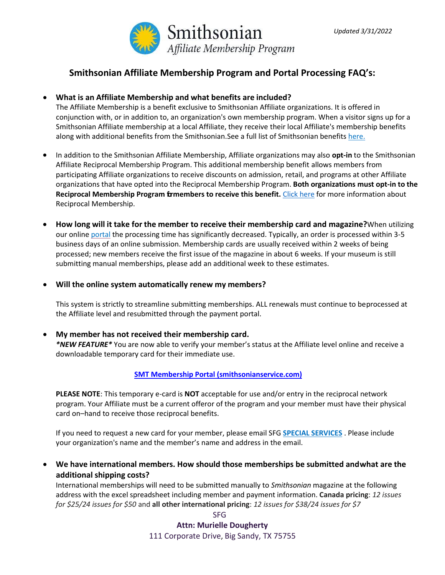

# **Smithsonian Affiliate Membership Program and Portal Processing FAQ's:**

## • **What is an Affiliate Membership and what benefits are included?**

The Affiliate Membership is a benefit exclusive to Smithsonian Affiliate organizations. It is offered in conjunction with, or in addition to, an organization's own membership program. When a visitor signs up for a Smithsonian Affiliate membership at a local Affiliate, they receive their local Affiliate's membership benefits along with additional benefits from the Smithsonian. See a full list of Smithsonian benefits [here.](http://www.smithsonianmag.com/member-services/?no-ist)

- In addition to the Smithsonian Affiliate Membership, Affiliate organizations may also **opt-in** to the Smithsonian Affiliate Reciprocal Membership Program. This additional membership benefit allows members from participating Affiliate organizations to receive discounts on admission, retail, and programs at other Affiliate organizations that have opted into the Reciprocal Membership Program. **Both organizations must opt-in to the Reciprocal Membership Program formembers to receive this benefit.** [Click here](https://affiliations.si.edu/affiliate-benefits/membership/affiliate-reciprocal-membership/) for more information about Reciprocal Membership.
- **How long will it take for the member to receive their membership card and magazine?**When utilizing our online [portal](https://ssl.drgnetwork.com/ecom/smt/app/live/affiliates_login) the processing time has significantly decreased. Typically, an order is processed within 3-5 business days of an online submission. Membership cards are usually received within 2 weeks of being processed; new members receive the first issue of the magazine in about 6 weeks. If your museum is still submitting manual memberships, please add an additional week to these estimates.
- **Will the online system automatically renew my members?**

This system is strictly to streamline submitting memberships. ALL renewals must continue to beprocessed at the Affiliate level and resubmitted through the payment portal.

• **My member has not received their membership card.** *\*NEW FEATURE\** You are now able to verify your member's status at the Affiliate level online and receive a downloadable temporary card for their immediate use.

## **[SMT Membership Portal \(smithsonianservice.com\)](https://smithsonianservice.com/ecom/smt/app/live/smtmemberships)**

**PLEASE NOTE**: This temporary e-card is **NOT** acceptable for use and/or entry in the reciprocal network program. Your Affiliate must be a current offeror of the program and your member must have their physical card on–hand to receive those reciprocal benefits.

If you need to request a new card for your member, please email SFG **[SPECIAL SERVICES](mailto:SMTteam@sfgnetwork.com)** . Please include your organization's name and the member's name and address in the email.

• **We have international members. How should those memberships be submitted andwhat are the additional shipping costs?**

International memberships will need to be submitted manually to *Smithsonian* magazine at the following address with the excel spreadsheet including member and payment information. **Canada pricing**: *12 issues for \$25/24 issues for \$50* and **all other international pricing**: *12 issues for \$38/24 issues for \$7*

> SFG **Attn: Murielle Dougherty** 111 Corporate Drive, Big Sandy, TX 75755